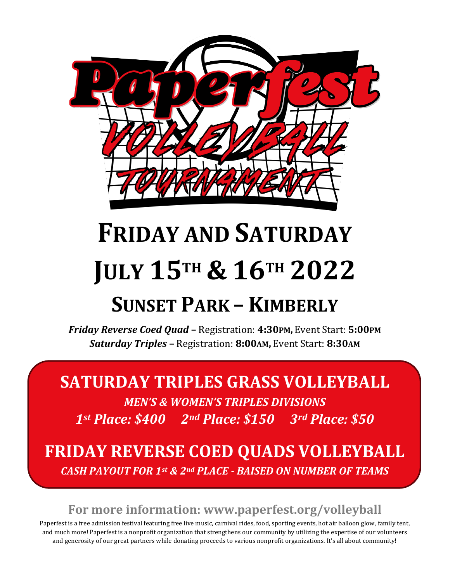

# **FRIDAY AND SATURDAY JULY 15TH & 16TH 2022**

## **SUNSET PARK – KIMBERLY**

*Friday Reverse Coed Quad* **–** Registration: **4:30PM,** Event Start: **5:00PM**  *Saturday Triples* **–** Registration: **8:00AM,** Event Start: **8:30AM**

### **SATURDAY TRIPLES GRASS VOLLEYBALL**

*MEN'S & WOMEN'S TRIPLES DIVISIONS 1st Place: \$400 2nd Place: \$150 3rd Place: \$50* 

**FRIDAY REVERSE COED QUADS VOLLEYBALL** *CASH PAYOUT FOR 1st & 2nd PLACE - BAISED ON NUMBER OF TEAMS*

#### **For more information: www.paperfest.org/volleyball**

Paperfest is a free admission festival featuring free live music, carnival rides, food, sporting events, hot air balloon glow, family tent, and much more! Paperfest is a nonprofit organization that strengthens our community by utilizing the expertise of our volunteers and generosity of our great partners while donating proceeds to various nonprofit organizations. It's all about community!